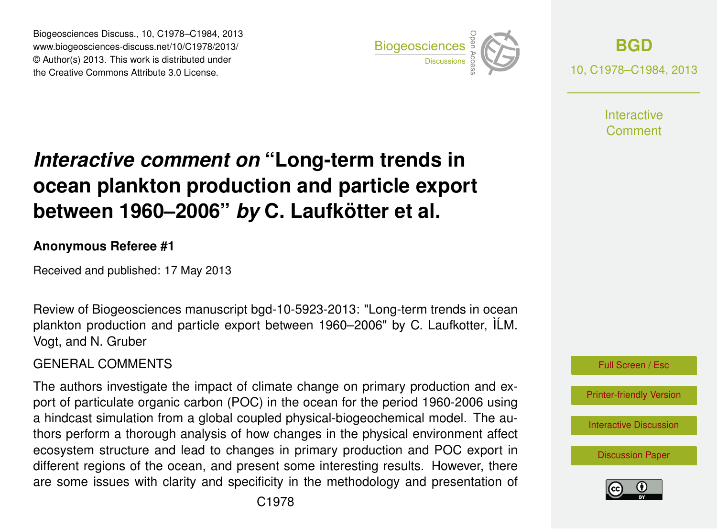Biogeosciences Discuss., 10, C1978–C1984, 2013 www.biogeosciences-discuss.net/10/C1978/2013/ www.biogeosciences-ulscuss.net/10/01976/2013/<br>© Author(s) 2013. This work is distributed under the Creative Commons Attribute 3.0 License.



**[BGD](http://www.biogeosciences-discuss.net)** 10, C1978–C1984, 2013

> **Interactive** Comment

#### Earth System ocean plankton production and particle export  $\overline{\mathbf{u}}$  $\mathbf t$ *Interactive comment on* "Long-term trends in between 1960–2006" *by* C. Laufkötter et al.

#### **Anonymous Referee #1**

Received and published: 17 May 2013

Review of Biogeosciences manuscript bgd-10-5923-2013: "Long-term trends in ocean plankton production and particle export between 1960–2006" by C. Laufkotter, ILM. g<br>t ir<br>:t Vogt, and N. Gruber

#### Hydrology and GENERAL COMMENTS

The authors investigate the impact of climate change on primary production and export of particulate organic carbon (POC) in the ocean for the period 1960-2006 using li<br>) ו<br>O a hindcast simulation from a global coupled physical-biogeochemical model. The auand perform a more agin analysis of non-enarged in the physical environment and consistem structure and lead to changes in primary production and POC export in ov<br>JE<br>SE er<br>e: different regions of the ocean, and present some interesting results. However, there thors perform a thorough analysis of how changes in the physical environment affect are some issues with clarity and specificity in the methodology and presentation of



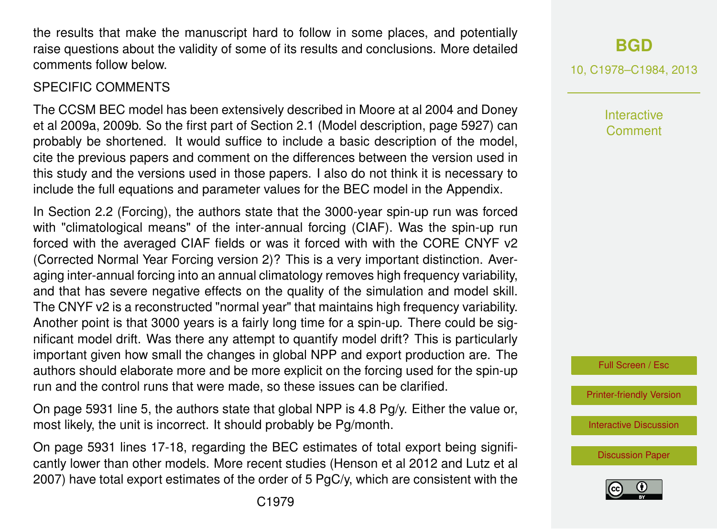the results that make the manuscript hard to follow in some places, and potentially raise questions about the validity of some of its results and conclusions. More detailed comments follow below.

### SPECIFIC COMMENTS

The CCSM BEC model has been extensively described in Moore at al 2004 and Doney et al 2009a, 2009b. So the first part of Section 2.1 (Model description, page 5927) can probably be shortened. It would suffice to include a basic description of the model, cite the previous papers and comment on the differences between the version used in this study and the versions used in those papers. I also do not think it is necessary to include the full equations and parameter values for the BEC model in the Appendix.

In Section 2.2 (Forcing), the authors state that the 3000-year spin-up run was forced with "climatological means" of the inter-annual forcing (CIAF). Was the spin-up run forced with the averaged CIAF fields or was it forced with with the CORE CNYF v2 (Corrected Normal Year Forcing version 2)? This is a very important distinction. Averaging inter-annual forcing into an annual climatology removes high frequency variability, and that has severe negative effects on the quality of the simulation and model skill. The CNYF v2 is a reconstructed "normal year" that maintains high frequency variability. Another point is that 3000 years is a fairly long time for a spin-up. There could be significant model drift. Was there any attempt to quantify model drift? This is particularly important given how small the changes in global NPP and export production are. The authors should elaborate more and be more explicit on the forcing used for the spin-up run and the control runs that were made, so these issues can be clarified.

On page 5931 line 5, the authors state that global NPP is 4.8 Pg/y. Either the value or, most likely, the unit is incorrect. It should probably be Pg/month.

On page 5931 lines 17-18, regarding the BEC estimates of total export being significantly lower than other models. More recent studies (Henson et al 2012 and Lutz et al 2007) have total export estimates of the order of 5 PgC/y, which are consistent with the **[BGD](http://www.biogeosciences-discuss.net)**

10, C1978–C1984, 2013

**Interactive** Comment

Full Screen / Esc

[Printer-friendly Version](http://www.biogeosciences-discuss.net/10/C1978/2013/bgd-10-C1978-2013-print.pdf)

[Interactive Discussion](http://www.biogeosciences-discuss.net/10/5923/2013/bgd-10-5923-2013-discussion.html)

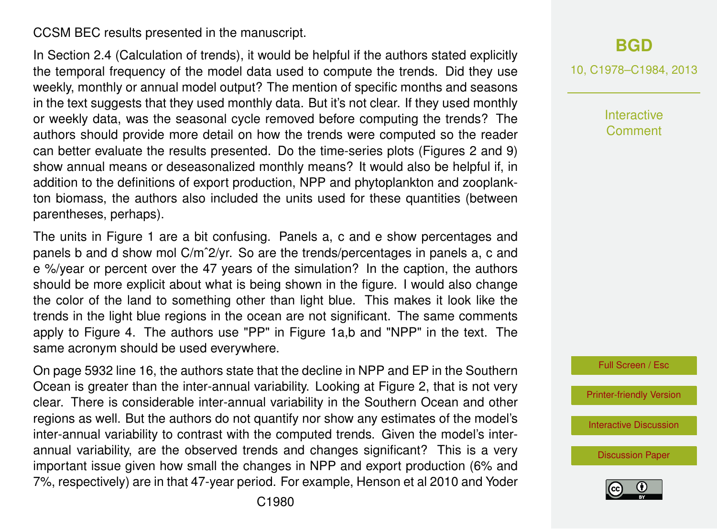#### CCSM BEC results presented in the manuscript.

In Section 2.4 (Calculation of trends), it would be helpful if the authors stated explicitly the temporal frequency of the model data used to compute the trends. Did they use weekly, monthly or annual model output? The mention of specific months and seasons in the text suggests that they used monthly data. But it's not clear. If they used monthly or weekly data, was the seasonal cycle removed before computing the trends? The authors should provide more detail on how the trends were computed so the reader can better evaluate the results presented. Do the time-series plots (Figures 2 and 9) show annual means or deseasonalized monthly means? It would also be helpful if, in addition to the definitions of export production, NPP and phytoplankton and zooplankton biomass, the authors also included the units used for these quantities (between parentheses, perhaps).

The units in Figure 1 are a bit confusing. Panels a, c and e show percentages and panels b and d show mol C/mˆ2/yr. So are the trends/percentages in panels a, c and e %/year or percent over the 47 years of the simulation? In the caption, the authors should be more explicit about what is being shown in the figure. I would also change the color of the land to something other than light blue. This makes it look like the trends in the light blue regions in the ocean are not significant. The same comments apply to Figure 4. The authors use "PP" in Figure 1a,b and "NPP" in the text. The same acronym should be used everywhere.

On page 5932 line 16, the authors state that the decline in NPP and EP in the Southern Ocean is greater than the inter-annual variability. Looking at Figure 2, that is not very clear. There is considerable inter-annual variability in the Southern Ocean and other regions as well. But the authors do not quantify nor show any estimates of the model's inter-annual variability to contrast with the computed trends. Given the model's interannual variability, are the observed trends and changes significant? This is a very important issue given how small the changes in NPP and export production (6% and 7%, respectively) are in that 47-year period. For example, Henson et al 2010 and Yoder 10, C1978–C1984, 2013

**Interactive Comment** 



[Printer-friendly Version](http://www.biogeosciences-discuss.net/10/C1978/2013/bgd-10-C1978-2013-print.pdf)

[Interactive Discussion](http://www.biogeosciences-discuss.net/10/5923/2013/bgd-10-5923-2013-discussion.html)

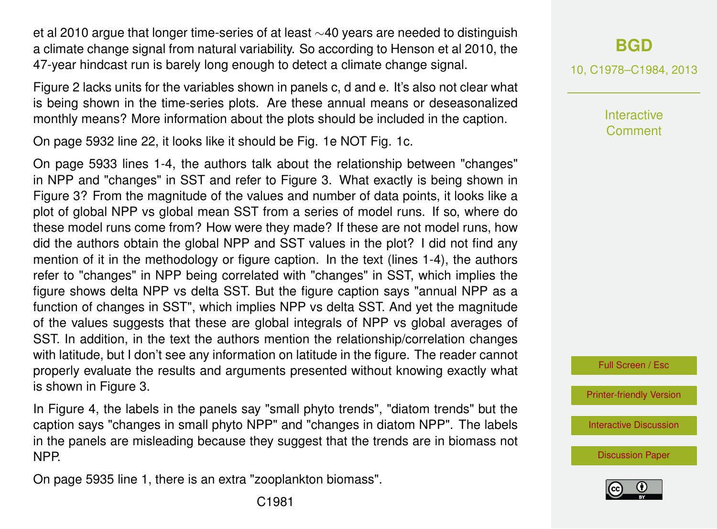et al 2010 argue that longer time-series of at least ∼40 years are needed to distinguish a climate change signal from natural variability. So according to Henson et al 2010, the 47-year hindcast run is barely long enough to detect a climate change signal.

Figure 2 lacks units for the variables shown in panels c, d and e. It's also not clear what is being shown in the time-series plots. Are these annual means or deseasonalized monthly means? More information about the plots should be included in the caption.

On page 5932 line 22, it looks like it should be Fig. 1e NOT Fig. 1c.

On page 5933 lines 1-4, the authors talk about the relationship between "changes" in NPP and "changes" in SST and refer to Figure 3. What exactly is being shown in Figure 3? From the magnitude of the values and number of data points, it looks like a plot of global NPP vs global mean SST from a series of model runs. If so, where do these model runs come from? How were they made? If these are not model runs, how did the authors obtain the global NPP and SST values in the plot? I did not find any mention of it in the methodology or figure caption. In the text (lines 1-4), the authors refer to "changes" in NPP being correlated with "changes" in SST, which implies the figure shows delta NPP vs delta SST. But the figure caption says "annual NPP as a function of changes in SST", which implies NPP vs delta SST. And yet the magnitude of the values suggests that these are global integrals of NPP vs global averages of SST. In addition, in the text the authors mention the relationship/correlation changes with latitude, but I don't see any information on latitude in the figure. The reader cannot properly evaluate the results and arguments presented without knowing exactly what is shown in Figure 3.

In Figure 4, the labels in the panels say "small phyto trends", "diatom trends" but the caption says "changes in small phyto NPP" and "changes in diatom NPP". The labels in the panels are misleading because they suggest that the trends are in biomass not NPP.

On page 5935 line 1, there is an extra "zooplankton biomass".

10, C1978–C1984, 2013

**Interactive Comment** 

Full Screen / Esc

[Printer-friendly Version](http://www.biogeosciences-discuss.net/10/C1978/2013/bgd-10-C1978-2013-print.pdf)

[Interactive Discussion](http://www.biogeosciences-discuss.net/10/5923/2013/bgd-10-5923-2013-discussion.html)

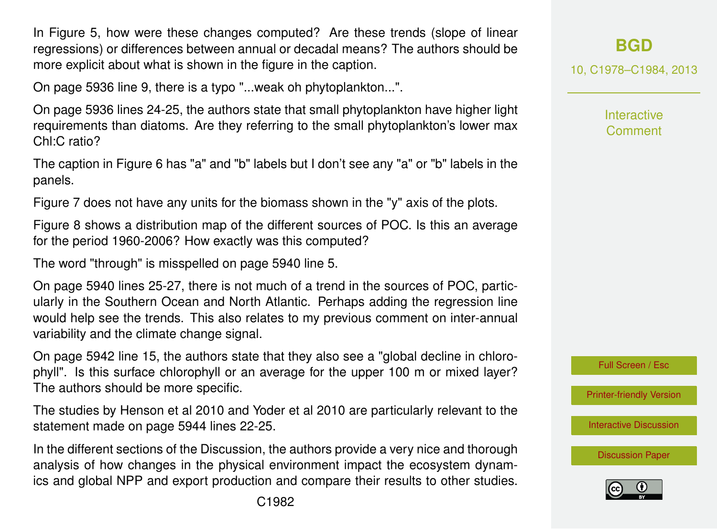In Figure 5, how were these changes computed? Are these trends (slope of linear regressions) or differences between annual or decadal means? The authors should be more explicit about what is shown in the figure in the caption.

On page 5936 line 9, there is a typo "...weak oh phytoplankton...".

On page 5936 lines 24-25, the authors state that small phytoplankton have higher light requirements than diatoms. Are they referring to the small phytoplankton's lower max Chl:C ratio?

The caption in Figure 6 has "a" and "b" labels but I don't see any "a" or "b" labels in the panels.

Figure 7 does not have any units for the biomass shown in the "y" axis of the plots.

Figure 8 shows a distribution map of the different sources of POC. Is this an average for the period 1960-2006? How exactly was this computed?

The word "through" is misspelled on page 5940 line 5.

On page 5940 lines 25-27, there is not much of a trend in the sources of POC, particularly in the Southern Ocean and North Atlantic. Perhaps adding the regression line would help see the trends. This also relates to my previous comment on inter-annual variability and the climate change signal.

On page 5942 line 15, the authors state that they also see a "global decline in chlorophyll". Is this surface chlorophyll or an average for the upper 100 m or mixed layer? The authors should be more specific.

The studies by Henson et al 2010 and Yoder et al 2010 are particularly relevant to the statement made on page 5944 lines 22-25.

In the different sections of the Discussion, the authors provide a very nice and thorough analysis of how changes in the physical environment impact the ecosystem dynamics and global NPP and export production and compare their results to other studies. 10, C1978–C1984, 2013

Interactive **Comment** 



[Printer-friendly Version](http://www.biogeosciences-discuss.net/10/C1978/2013/bgd-10-C1978-2013-print.pdf)

[Interactive Discussion](http://www.biogeosciences-discuss.net/10/5923/2013/bgd-10-5923-2013-discussion.html)

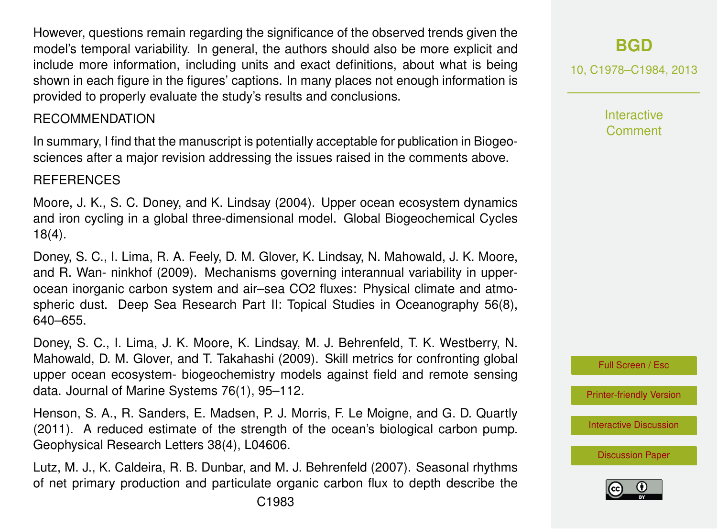However, questions remain regarding the significance of the observed trends given the model's temporal variability. In general, the authors should also be more explicit and include more information, including units and exact definitions, about what is being shown in each figure in the figures' captions. In many places not enough information is provided to properly evaluate the study's results and conclusions.

#### RECOMMENDATION

In summary, I find that the manuscript is potentially acceptable for publication in Biogeosciences after a major revision addressing the issues raised in the comments above.

#### **REFERENCES**

Moore, J. K., S. C. Doney, and K. Lindsay (2004). Upper ocean ecosystem dynamics and iron cycling in a global three-dimensional model. Global Biogeochemical Cycles 18(4).

Doney, S. C., I. Lima, R. A. Feely, D. M. Glover, K. Lindsay, N. Mahowald, J. K. Moore, and R. Wan- ninkhof (2009). Mechanisms governing interannual variability in upperocean inorganic carbon system and air–sea CO2 fluxes: Physical climate and atmospheric dust. Deep Sea Research Part II: Topical Studies in Oceanography 56(8), 640–655.

Doney, S. C., I. Lima, J. K. Moore, K. Lindsay, M. J. Behrenfeld, T. K. Westberry, N. Mahowald, D. M. Glover, and T. Takahashi (2009). Skill metrics for confronting global upper ocean ecosystem- biogeochemistry models against field and remote sensing data. Journal of Marine Systems 76(1), 95–112.

Henson, S. A., R. Sanders, E. Madsen, P. J. Morris, F. Le Moigne, and G. D. Quartly (2011). A reduced estimate of the strength of the ocean's biological carbon pump. Geophysical Research Letters 38(4), L04606.

Lutz, M. J., K. Caldeira, R. B. Dunbar, and M. J. Behrenfeld (2007). Seasonal rhythms of net primary production and particulate organic carbon flux to depth describe the

# **[BGD](http://www.biogeosciences-discuss.net)**

10, C1978–C1984, 2013

**Interactive Comment** 



[Printer-friendly Version](http://www.biogeosciences-discuss.net/10/C1978/2013/bgd-10-C1978-2013-print.pdf)

[Interactive Discussion](http://www.biogeosciences-discuss.net/10/5923/2013/bgd-10-5923-2013-discussion.html)